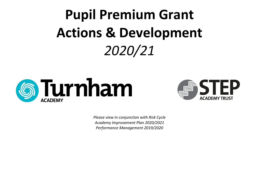## **Pupil Premium Grant Actions & Development** *2020/21*





*Please view in conjunction with Risk Cycle Academy Improvement Plan 2020/2021 Performance Management 2019/2020*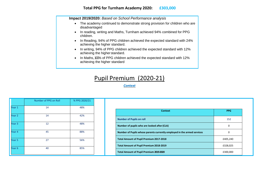**Impact 2019/2020:** *Based on School Performance analysis*

- The academy continued to demonstrate strong provision for children who are disadvantaged
- In reading, writing and Maths, Turnham achieved 94% combined for PPG children.
- In Reading, 94% of PPG children achieved the expected standard with 24% achieving the higher standard.
- In writing, 94% of PPG children achieved the expected standard with 12% achieving the higher standard.
- In Maths, 100% of PPG children achieved the expected standard with 12% achieving the higher standard

## Pupil Premium (2020-21)

*Context*

|        | Number of PPG on Roll | % PPG 2020/21 |
|--------|-----------------------|---------------|
| Year 1 | 14                    | 48%           |
| Year 2 | 14                    | 42%           |
|        |                       |               |
|        | 12                    | 48%           |
|        | 45                    | 88%           |
|        | 27                    | 56%           |
|        |                       |               |
|        | 40                    | 85%           |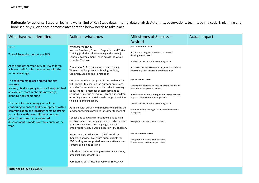**Rationale for actions:** Based on learning walks, End of Key Stage data, internal data analysis Autumn 1, observations, team teaching cycle 1, planning and book scrutiny's , evidence demonstrates that the below needs to take place.

| What have we Identified:                                                                                                                                                      | Action - what, how                                                                                                                                                                                                                                 | Milestones of Success -                                                                                                                    | <b>Actual Impact</b> |
|-------------------------------------------------------------------------------------------------------------------------------------------------------------------------------|----------------------------------------------------------------------------------------------------------------------------------------------------------------------------------------------------------------------------------------------------|--------------------------------------------------------------------------------------------------------------------------------------------|----------------------|
|                                                                                                                                                                               |                                                                                                                                                                                                                                                    | <b>Desired</b>                                                                                                                             |                      |
| EYFS:<br>74% of Reception cohort are PPG<br>At the end of the year 80% of PPG children                                                                                        | What are we doing?<br>Nurture Provision, Zones of Regulation and Thrive<br>Training (including all resourcing and training)<br>Continue to implement Thrive across the whole<br>school at Turnham.<br>Purchase of SFA extra resources and training | <b>End of Autumn Term:</b><br>Accelerated progress is seen in the Phonic<br>development in EYFS<br>50% of chn are on track to meeting GLDs |                      |
| achieved a GLD, which was in line with the<br>national average.                                                                                                               | Whole school approach to Reading, Writing,<br>Grammar, Spelling and Punctuation                                                                                                                                                                    | All classes will be assessed through Thrive and can<br>address key PPG children's emotional needs.                                         |                      |
| The children made accelerated phonics<br>progress<br>Nursery children going into our Reception had<br>an excellent start in phonic knowledge,                                 | Outdoor provision set up - As in line with our AIP<br>with regards to ensuring the outdoor provisions<br>provides for same standard of excellent learning,<br>as our indoor, a member of staff commits to                                          | <b>End of Spring Term:</b><br>Thrive has an impact on PPG children's needs and<br>accelerated progress is evident                          |                      |
| blending and segmenting                                                                                                                                                       | ensuring it is set up everyday - giving our children,<br>especially those with PPG a wide range of activities<br>to explore and engage in.                                                                                                         | Introduction of Zones of regulation across EYs and<br>impact seen on emotional regulation                                                  |                      |
| The focus for the coming year will be<br>continuing to ensure that development within<br>communication and language remains strong<br>particularly with new children who have | As in line with our AIP with regards to ensuring the<br>outdoor provisions provides for same standard of                                                                                                                                           | 75% of chn are on track to meeting GLDs<br>Guided Reading through SFA is embedded across<br>Reception                                      |                      |
| joined to ensure that accelerated<br>development is made over the course of the<br>year.                                                                                      | Speech and Language Interventions due to high<br>levels of speech and language needs, extra support<br>is necessary. Speech and language therapist<br>employed for 1 day a week. Focus on PPG children.                                            | 65% phonic increase from baseline                                                                                                          |                      |
|                                                                                                                                                                               | Attendance and Educational Welfare Officer<br>(bought in service) To ensure pupils eligible for<br>PPG funding are supported to ensure attendance<br>remains as high as possible.                                                                  | <b>End of Summer Term:</b><br>85% phonic increase from baseline<br>80% or more children achieve GLD                                        |                      |
|                                                                                                                                                                               | Subsidised places including extra-curricular clubs,<br>breakfast club, school trips                                                                                                                                                                |                                                                                                                                            |                      |
|                                                                                                                                                                               | Part Staffing costs: Head of Pastoral, SENCO, AHT                                                                                                                                                                                                  |                                                                                                                                            |                      |
| Total for EYFS = £75,000                                                                                                                                                      |                                                                                                                                                                                                                                                    |                                                                                                                                            |                      |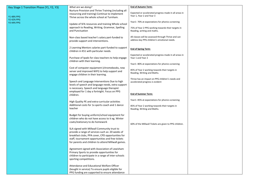| Key Stage 1 Transition Phase (Y1, Y2, Y3) | What are we doing?                                   | <b>End of Autumn Term:</b>                             |  |
|-------------------------------------------|------------------------------------------------------|--------------------------------------------------------|--|
|                                           | Nurture Provision and Thrive Training (including all | Expected or accelerated progress made in all areas in  |  |
|                                           | resourcing and training) Continue to implement       | Year 1, Year 2 and Year 3                              |  |
| Y1 48% PPG                                | Thrive across the whole school at Turnham.           |                                                        |  |
| <b>Y2 42% PPG</b>                         |                                                      | Year1-70% at expectations for phonics screening        |  |
| Y3 44% PPG                                | Update of SFA resources and training Whole school    |                                                        |  |
|                                           | approach to Reading, Writing, Grammar, Spelling      | 75% of Year 2 PPG working towards their targets in     |  |
|                                           | and Punctuation                                      | Reading, writing and maths.                            |  |
|                                           |                                                      |                                                        |  |
|                                           | Non-class based teacher's salary part-funded to      | All classes will be assessed through Thrive and can    |  |
|                                           | provide support and interventions.                   | address key PPG children's emotional needs.            |  |
|                                           |                                                      |                                                        |  |
|                                           | 2 Learning Mentors salaries part-funded to support   |                                                        |  |
|                                           | children in KS1 with particular needs.               | <b>End of Spring Term:</b>                             |  |
|                                           |                                                      |                                                        |  |
|                                           |                                                      | Expected or accelerated progress made in all areas in  |  |
|                                           | Purchase of Ipads for class teachers to help engage  | Year 1 and Year 2                                      |  |
|                                           | children with their learning.                        | Year1-80% at expectations for phonics screening        |  |
|                                           |                                                      |                                                        |  |
|                                           | Cost of computer equipment (chromebooks, new         | 85% of Year 2 working towards their targets in         |  |
|                                           | server and improved WIFI) to help support and        | Reading, Writing and Maths.                            |  |
|                                           | engage children in their learning.                   |                                                        |  |
|                                           |                                                      | Thrive has an impact on PPG children's needs and       |  |
|                                           | Speech and Language Interventions Due to high        | accelerated progress is evident                        |  |
|                                           | levels of speech and language needs, extra support   |                                                        |  |
|                                           | is necessary. Speech and language therapist          |                                                        |  |
|                                           | employed for 1 day a fortnight. Focus on PPG         |                                                        |  |
|                                           | children.                                            | <b>End of Summer Term:</b>                             |  |
|                                           |                                                      |                                                        |  |
|                                           | High Quality PE and extra-curricular activities      | Year1-85% at expectations for phonics screening        |  |
|                                           | Additional costs for 1x sports coach and 1 dance     | 85% of Year 2 working towards their targets in         |  |
|                                           | teacher                                              | Reading, Writing and Maths.                            |  |
|                                           |                                                      |                                                        |  |
|                                           | Budget for buying uniform/school equipment for       |                                                        |  |
|                                           | children who do not have access to it eg. Winter     |                                                        |  |
|                                           | coats/stationary to do homework                      |                                                        |  |
|                                           |                                                      | 60% of the Millwall Tickets are given to PPG children. |  |
|                                           | SLA signed with Millwall Community trust to          |                                                        |  |
|                                           | provide a range of services such as: 20 weeks of     |                                                        |  |
|                                           | breakfast clubs, PPA cover, CPD opportunities for    |                                                        |  |
|                                           |                                                      |                                                        |  |
|                                           | staff, tournament opportunities and free tickets     |                                                        |  |
|                                           | for parents and children to attend Millwall games.   |                                                        |  |
|                                           |                                                      |                                                        |  |
|                                           | Agreement signed with Association of Lewisham        |                                                        |  |
|                                           | Primary Sports to provide opportunities for          |                                                        |  |
|                                           | children to participate in a range of inter-schools  |                                                        |  |
|                                           | sporting competitions.                               |                                                        |  |
|                                           |                                                      |                                                        |  |
|                                           | Attendance and Educational Welfare Officer           |                                                        |  |
|                                           | (bought in service) To ensure pupils eligible for    |                                                        |  |
|                                           | PPG funding are supported to ensure attendance       |                                                        |  |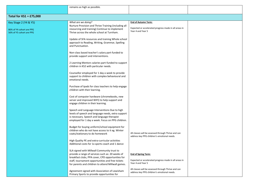|                                                      | remains as high as possible.                                                                                                                                                                                                                |
|------------------------------------------------------|---------------------------------------------------------------------------------------------------------------------------------------------------------------------------------------------------------------------------------------------|
|                                                      |                                                                                                                                                                                                                                             |
| Total for $KSI = £75,000$                            |                                                                                                                                                                                                                                             |
| Key Stage 2 (Y4 & Y5)                                | <b>End of Autumn Term:</b><br>What are we doing?<br>Nurture Provision and Thrive Training (including all                                                                                                                                    |
| 86% of Y4 cohort are PPG<br>56% of Y5 cohort are PPG | Expected or accelerated progress made in all areas in<br>resourcing and training) Continue to implement<br>Year 4 and Year 5<br>Thrive across the whole school at Turnham.                                                                  |
|                                                      | Update of SFA resources and training Whole school<br>approach to Reading, Writing, Grammar, Spelling<br>and Punctuation.                                                                                                                    |
|                                                      | Non-class based teacher's salary part-funded to<br>provide support and interventions.                                                                                                                                                       |
|                                                      | 2 Learning Mentors salaries part-funded to support<br>children in KS2 with particular needs.                                                                                                                                                |
|                                                      | Counsellor employed for 1 day a week to provide<br>support to children with complex behavioural and<br>emotional needs.                                                                                                                     |
|                                                      | Purchase of Ipads for class teachers to help engage<br>children with their learning.                                                                                                                                                        |
|                                                      | Cost of computer hardware (chromebooks, new<br>server and improved WIFI) to help support and<br>engage children in their learning.                                                                                                          |
|                                                      | Speech and Language Interventions Due to high<br>levels of speech and language needs, extra support<br>is necessary. Speech and language therapist<br>employed for 1 day a week. Focus on PPG children.                                     |
|                                                      | Budget for buying uniform/school equipment for<br>children who do not have access to it eg. Winter<br>All classes will be assessed through Thrive and can<br>coats/stationary to do homework<br>address key PPG children's emotional needs. |
|                                                      | High Quality PE and extra-curricular activities<br>Additional costs for 1x sports coach and 1 dance                                                                                                                                         |
|                                                      | SLA signed with Millwall Community trust to<br>provide a range of services such as: 20 weeks of<br><b>End of Spring Term:</b><br>breakfast clubs, PPA cover, CPD opportunities for                                                          |
|                                                      | Expected or accelerated progress made in all areas in<br>staff, tournament opportunities and free tickets<br>Year 4 and Year 5<br>for parents and children to attend Millwall games.                                                        |
|                                                      | All classes will be assessed through Thrive and can<br>Agreement signed with Association of Lewisham<br>address key PPG children's emotional needs.<br>Primary Sports to provide opportunities for                                          |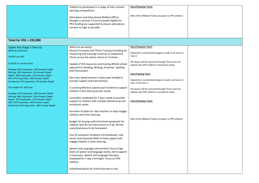|                                                                                                                                                                                                                          | children to participate in a range of inter-schools<br>sporting competitions.                                                                                                                                   | <b>End of Summer Term:</b>                                                                         |  |
|--------------------------------------------------------------------------------------------------------------------------------------------------------------------------------------------------------------------------|-----------------------------------------------------------------------------------------------------------------------------------------------------------------------------------------------------------------|----------------------------------------------------------------------------------------------------|--|
|                                                                                                                                                                                                                          | Attendance and Educational Welfare Officer<br>(bought in service) To ensure pupils eligible for<br>PPG funding are supported to ensure attendance<br>remains as high as possible.                               | 60% of the Millwall Tickets are given to PPG children.                                             |  |
| Total for $KS2 = £93,000$                                                                                                                                                                                                |                                                                                                                                                                                                                 |                                                                                                    |  |
| Upper Key Stage 2 (Year 6):                                                                                                                                                                                              | What are we doing?                                                                                                                                                                                              | <b>End of Autumn Term:</b>                                                                         |  |
| What do we know?                                                                                                                                                                                                         | Nurture Provision and Thrive Training (including all                                                                                                                                                            |                                                                                                    |  |
| Y6 85% are PPG                                                                                                                                                                                                           | resourcing and training) Continue to implement<br>Thrive across the whole school at Turnham.                                                                                                                    | Expected or accelerated progress made in all areas in<br>Year 6                                    |  |
| In 2018 our results were:<br>Reading: 82% Expected+, 26% Greater Depth                                                                                                                                                   | Update of SFA resources and training Whole school<br>approach to Reading, Writing, Grammar, Spelling                                                                                                            | All classes will be assessed through Thrive and can<br>address key PPG children's emotional needs. |  |
| Writing: 69% Expected+, 5% Greater Depth                                                                                                                                                                                 | and Punctuation.                                                                                                                                                                                                | <b>End of Spring Term:</b>                                                                         |  |
| Maths: 84% Expected+, 31% Greater Depth                                                                                                                                                                                  | Non-class based teacher's salary part-funded to                                                                                                                                                                 |                                                                                                    |  |
| GPS: 87% Expected+, 26% Greater Depth<br>Combined: 57% Expected+, 5% Greater Depth                                                                                                                                       | provide support and interventions                                                                                                                                                                               | Expected or accelerated progress made in all areas in<br>Year 4 and Year 5                         |  |
| Our targets for 2020 are                                                                                                                                                                                                 | 2 Learning Mentors salaries part-funded to support<br>children in KS2 with particular needs.                                                                                                                    | All classes will be assessed through Thrive and can<br>address key PPG children's emotional needs. |  |
| Reading: 87% Expected+, 36% Greater Depth<br>Writing: 84% Expected+, 29% Greater Depth<br>Maths: 87% Expected+, 37% Greater Depth<br>GPS: 91% Expected+, 44% Greater Depth<br>Combined: 81% Expected+, 28% Greater Depth | Counsellor employed for 1 day a week to provide<br>support to children with complex behavioural and<br>emotional needs.                                                                                         | <b>End of Summer Term:</b>                                                                         |  |
|                                                                                                                                                                                                                          | Purchase of Ipads for class teachers to help engage<br>children with their learning.                                                                                                                            |                                                                                                    |  |
|                                                                                                                                                                                                                          | Budget for buying uniform/school equipment for<br>children who do not have access to it eg. Winter<br>coats/stationary to do homework                                                                           | 60% of the Millwall Tickets are given to PPG children.                                             |  |
|                                                                                                                                                                                                                          | Cost of computer hardware (chromebooks, new<br>server and improved WIFI) to help support and<br>engage children in their learning.                                                                              |                                                                                                    |  |
|                                                                                                                                                                                                                          | Speech and Language Interventions Due to high<br>levels of speech and language needs, extra support<br>is necessary. Speech and language therapist<br>employed for 1 day a fortnight. Focus on PPG<br>children. |                                                                                                    |  |
|                                                                                                                                                                                                                          | Subsidised places for School journey in July                                                                                                                                                                    |                                                                                                    |  |